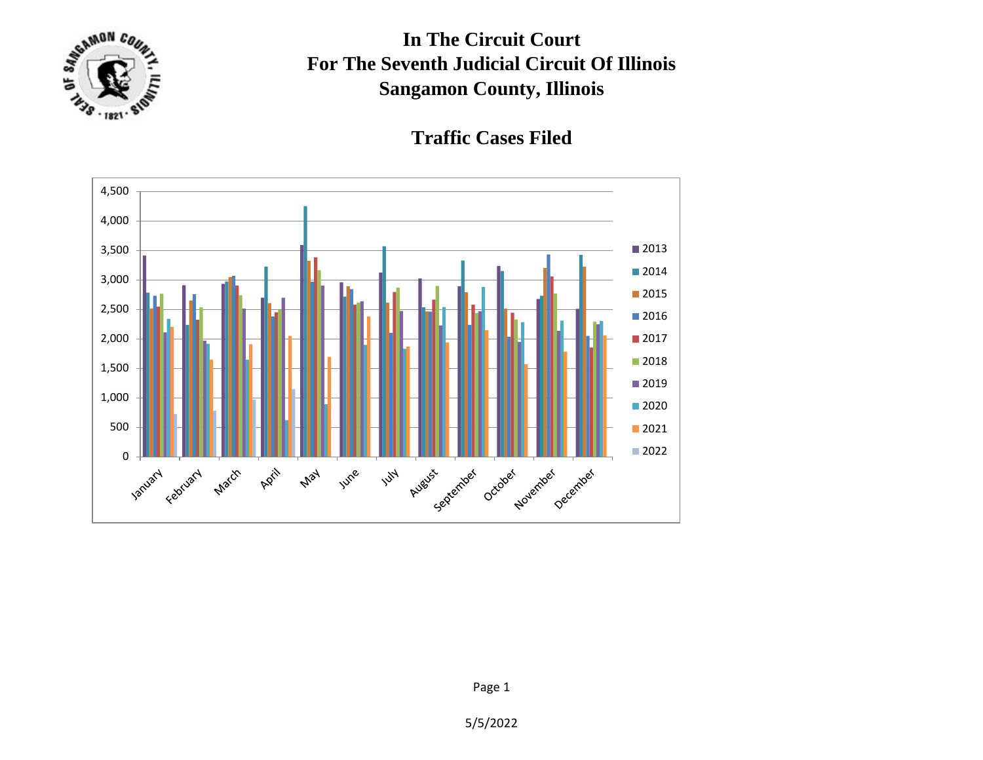

**In The Circuit Court For The Seventh Judicial Circuit Of Illinois Sangamon County, Illinois**

**Traffic Cases Filed**



5/5/2022